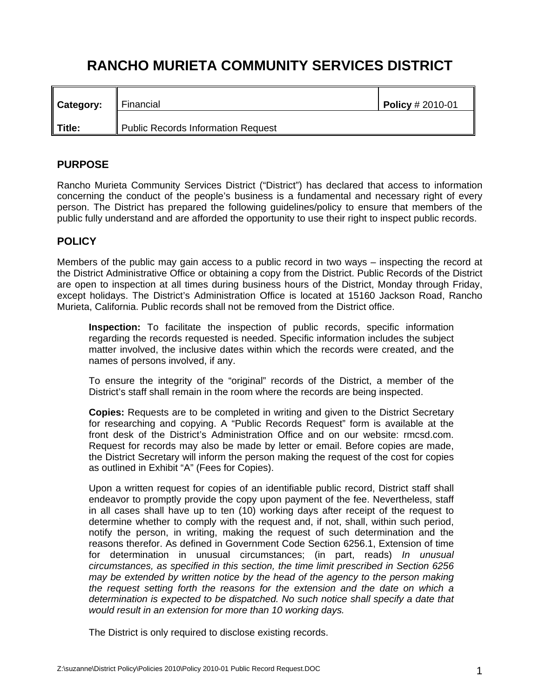# **RANCHO MURIETA COMMUNITY SERVICES DISTRICT**

| Category: | Financial                                 | $Policy # 2010-01$ |
|-----------|-------------------------------------------|--------------------|
| Title:    | <b>Public Records Information Request</b> |                    |

## **PURPOSE**

Rancho Murieta Community Services District ("District") has declared that access to information concerning the conduct of the people's business is a fundamental and necessary right of every person. The District has prepared the following guidelines/policy to ensure that members of the public fully understand and are afforded the opportunity to use their right to inspect public records.

## **POLICY**

Members of the public may gain access to a public record in two ways – inspecting the record at the District Administrative Office or obtaining a copy from the District. Public Records of the District are open to inspection at all times during business hours of the District, Monday through Friday, except holidays. The District's Administration Office is located at 15160 Jackson Road, Rancho Murieta, California. Public records shall not be removed from the District office.

**Inspection:** To facilitate the inspection of public records, specific information regarding the records requested is needed. Specific information includes the subject matter involved, the inclusive dates within which the records were created, and the names of persons involved, if any.

 To ensure the integrity of the "original" records of the District, a member of the District's staff shall remain in the room where the records are being inspected.

**Copies:** Requests are to be completed in writing and given to the District Secretary for researching and copying. A "Public Records Request" form is available at the front desk of the District's Administration Office and on our website: rmcsd.com. Request for records may also be made by letter or email. Before copies are made, the District Secretary will inform the person making the request of the cost for copies as outlined in Exhibit "A" (Fees for Copies).

Upon a written request for copies of an identifiable public record, District staff shall endeavor to promptly provide the copy upon payment of the fee. Nevertheless, staff in all cases shall have up to ten (10) working days after receipt of the request to determine whether to comply with the request and, if not, shall, within such period, notify the person, in writing, making the request of such determination and the reasons therefor. As defined in Government Code Section 6256.1, Extension of time for determination in unusual circumstances; (in part, reads) *In unusual circumstances, as specified in this section, the time limit prescribed in Section 6256 may be extended by written notice by the head of the agency to the person making the request setting forth the reasons for the extension and the date on which a determination is expected to be dispatched. No such notice shall specify a date that would result in an extension for more than 10 working days.* 

The District is only required to disclose existing records.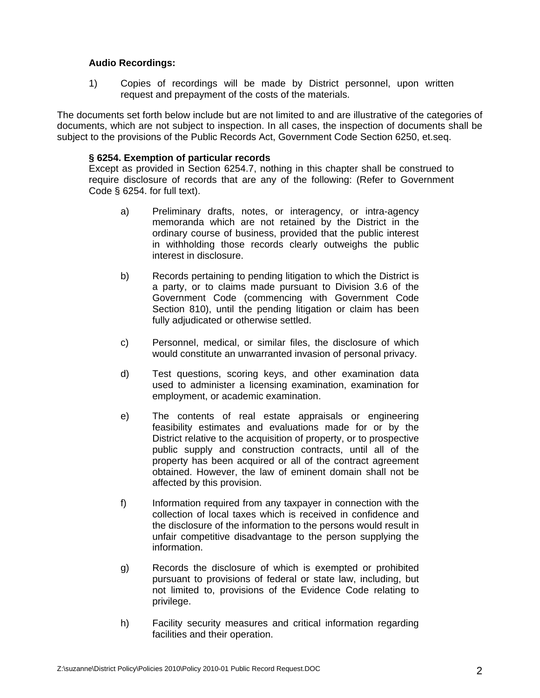#### **Audio Recordings:**

1) Copies of recordings will be made by District personnel, upon written request and prepayment of the costs of the materials.

The documents set forth below include but are not limited to and are illustrative of the categories of documents, which are not subject to inspection. In all cases, the inspection of documents shall be subject to the provisions of the Public Records Act, Government Code Section 6250, et.seq.

#### **§ 6254. Exemption of particular records**

 Except as provided in Section 6254.7, nothing in this chapter shall be construed to require disclosure of records that are any of the following: (Refer to Government Code § 6254. for full text).

- a) Preliminary drafts, notes, or interagency, or intra-agency memoranda which are not retained by the District in the ordinary course of business, provided that the public interest in withholding those records clearly outweighs the public interest in disclosure.
- b) Records pertaining to pending litigation to which the District is a party, or to claims made pursuant to Division 3.6 of the Government Code (commencing with Government Code Section 810), until the pending litigation or claim has been fully adjudicated or otherwise settled.
- c) Personnel, medical, or similar files, the disclosure of which would constitute an unwarranted invasion of personal privacy.
- d) Test questions, scoring keys, and other examination data used to administer a licensing examination, examination for employment, or academic examination.
- e) The contents of real estate appraisals or engineering feasibility estimates and evaluations made for or by the District relative to the acquisition of property, or to prospective public supply and construction contracts, until all of the property has been acquired or all of the contract agreement obtained. However, the law of eminent domain shall not be affected by this provision.
- f) Information required from any taxpayer in connection with the collection of local taxes which is received in confidence and the disclosure of the information to the persons would result in unfair competitive disadvantage to the person supplying the information.
- g) Records the disclosure of which is exempted or prohibited pursuant to provisions of federal or state law, including, but not limited to, provisions of the Evidence Code relating to privilege.
- h) Facility security measures and critical information regarding facilities and their operation.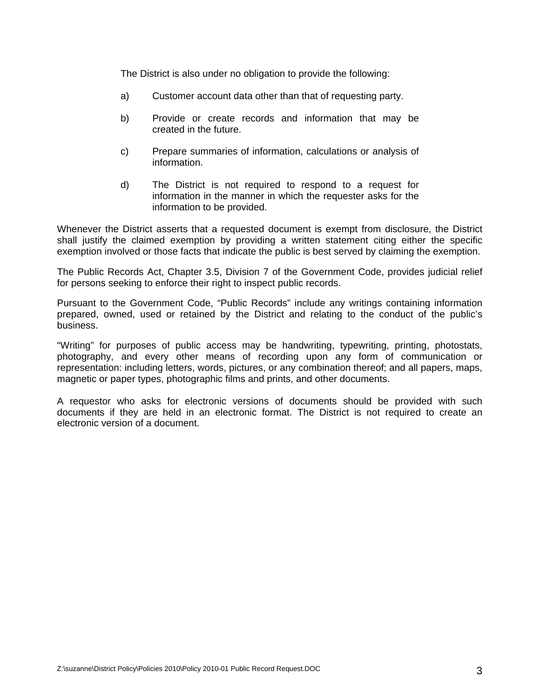The District is also under no obligation to provide the following:

- a) Customer account data other than that of requesting party.
- b) Provide or create records and information that may be created in the future.
- c) Prepare summaries of information, calculations or analysis of information.
- d) The District is not required to respond to a request for information in the manner in which the requester asks for the information to be provided.

Whenever the District asserts that a requested document is exempt from disclosure, the District shall justify the claimed exemption by providing a written statement citing either the specific exemption involved or those facts that indicate the public is best served by claiming the exemption.

The Public Records Act, Chapter 3.5, Division 7 of the Government Code, provides judicial relief for persons seeking to enforce their right to inspect public records.

Pursuant to the Government Code, "Public Records" include any writings containing information prepared, owned, used or retained by the District and relating to the conduct of the public's business.

"Writing" for purposes of public access may be handwriting, typewriting, printing, photostats, photography, and every other means of recording upon any form of communication or representation: including letters, words, pictures, or any combination thereof; and all papers, maps, magnetic or paper types, photographic films and prints, and other documents.

A requestor who asks for electronic versions of documents should be provided with such documents if they are held in an electronic format. The District is not required to create an electronic version of a document.